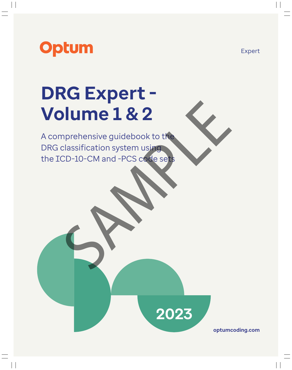

## **DRG Expert - Volume 1 & 2**

A comprehensive guidebook to the DRG classification system using the ICD-10-CM and -PCS code sets Plume 1 & 2



**optumcoding.com**

Expert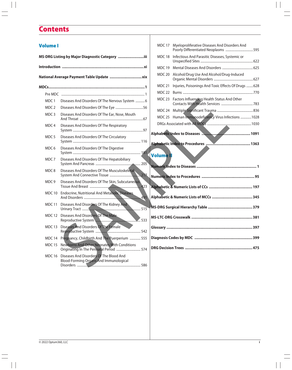## **Contents**

| <b>Volume I</b>  |                                                                                                 |                  | MDC 17 Myeloproliferative Diseases And Disorders And        |  |
|------------------|-------------------------------------------------------------------------------------------------|------------------|-------------------------------------------------------------|--|
|                  | MS-DRG Listing by Major Diagnostic Category iii                                                 |                  | MDC 18 Infectious And Parasitic Diseases, Systemic or       |  |
|                  |                                                                                                 |                  |                                                             |  |
|                  |                                                                                                 |                  | MDC 20 Alcohol/Drug Use And Alcohol/Drug-Induced            |  |
|                  |                                                                                                 |                  | MDC 21 Injuries, Poisonings And Toxic Effects Of Drugs  628 |  |
|                  |                                                                                                 |                  |                                                             |  |
| MDC 1            | Diseases And Disorders Of The Nervous System  6                                                 |                  | MDC 23 Factors Influencing Health Status And Other          |  |
| MDC <sub>2</sub> |                                                                                                 |                  |                                                             |  |
| MDC <sub>3</sub> | Diseases And Disorders Of The Ear, Nose, Mouth                                                  |                  | MDC 25 Human Immunodeficiency Virus Infections 1028         |  |
| MDC 4            | Diseases And Disorders Of The Respiratory                                                       |                  |                                                             |  |
| MDC <sub>5</sub> | Diseases And Disorders Of The Circulatory                                                       |                  |                                                             |  |
| MDC <sub>6</sub> | Diseases And Disorders Of The Digestive                                                         | <b>Volume II</b> |                                                             |  |
| MDC <sub>7</sub> | Diseases And Disorders Of The Hepatobiliary                                                     |                  |                                                             |  |
| MDC8             | Diseases And Disorders Of The Musculoskeletal                                                   |                  |                                                             |  |
| MDC <sub>9</sub> | Diseases And Disorders Of The Skin, Subcutaneous                                                |                  |                                                             |  |
| MDC 10           | <b>Endocrine, Nutritional And Metabolic Diseases</b>                                            |                  |                                                             |  |
| MDC 11           |                                                                                                 |                  |                                                             |  |
|                  | MDC 12 Diseases And Disorders Of The Male<br>Reproductive System                                |                  |                                                             |  |
|                  | MDC 13 Diseases And Disorders Of The Female                                                     |                  |                                                             |  |
|                  | MDC 14 Pregnancy, Childbirth And The Puerperium  555                                            |                  |                                                             |  |
| <b>MDC 15</b>    | Newborns And Other Neonates With Conditions<br>Originating In The Perinatal Period  574         |                  |                                                             |  |
|                  | MDC 16 Diseases And Disorders Of The Blood And<br><b>Blood-Forming Organs And Immunological</b> |                  |                                                             |  |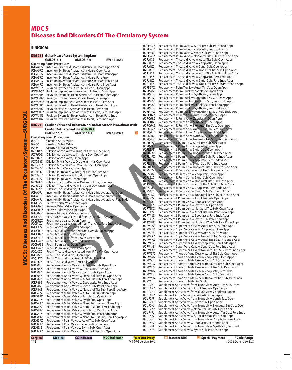## **MDC 5** Diseases And Disorders Of The Circulatory System

| <b>SURGICAL</b>    |                                                                     |                                                                                                                                |            |           | 02RH47Z<br>Ø2RH48Z        | Replacement Pulm Valve w Autol Tiss Sub, Perc Endo Ap<br>Replacement Pulm Valve w Zooplastic, Perc Endo Appr     |
|--------------------|---------------------------------------------------------------------|--------------------------------------------------------------------------------------------------------------------------------|------------|-----------|---------------------------|------------------------------------------------------------------------------------------------------------------|
|                    |                                                                     |                                                                                                                                |            |           | Ø2RH4JZ                   | Replacement Pulm Valve w Synth Sub, Perc Endo Appr                                                               |
|                    | DRG 215 Other Heart Assist System Implant                           |                                                                                                                                |            |           | 02RH4KZ                   | Replacement Pulm Valve w Nonautol Tiss Sub, Perc End                                                             |
|                    | <b>GMLOS 5.1</b>                                                    | <b>AMLOS 8.6</b>                                                                                                               | RW 10.5584 |           | 02RJ07Z<br>Ø2RJØ8Z        | Replacement Tricuspid Valve w Autol Tiss Sub, Open Ap<br>Replacement Tricuspid Valve w Zooplastic, Open Appr     |
| 02HA0RS            | <b>Operating Room Procedures</b>                                    |                                                                                                                                |            |           | Ø2RJØJZ                   | Replacement Tricuspid Valve w Synth Sub, Open Appr                                                               |
| 02HA0RZ            |                                                                     | Insertion Bivent Ext Heart Assistance in Heart, Open Appr<br>Insertion Ext Heart Assistance in Heart, Open Appr                |            |           | 02RJ0KZ                   | Replacement Tricuspid Valve w Nonautol Tiss Sub, Oper                                                            |
| Ø2HA3RS            |                                                                     | Insertion Bivent Ext Heart Assistance in Heart, Perc Appr                                                                      |            |           | 02RJ47Z                   | Replacement Tricuspid Valve w Autol Tiss Sub, Perc End                                                           |
| 02HA3RZ            |                                                                     | Insertion Ext Heart Assistance in Heart, Perc Appr                                                                             |            |           | 02RJ48Z                   | Replacement Tricuspid Valve w Zooplastic, Perc Endo A                                                            |
| Ø2HA4RS            |                                                                     | Insertion Bivent Ext Heart Assistance in Heart, Perc Endo                                                                      |            |           | Ø2RJ4JZ                   | Replacement Tricuspid Valve w Synth Sub, Perc Endo Ap                                                            |
| 02HA4RZ            |                                                                     | Insertion Ext Heart Assistance in Heart, Perc Endo Appr                                                                        |            |           | Ø2RJ4KZ                   | Replacement Tricuspid Valve w Nonautol Tiss Sub, Perc                                                            |
| 02WA0JZ            |                                                                     | Revision Synthetic Substitute in Heart, Open Appr                                                                              |            |           | 02RP07Z<br>02RP08Z        | Replacement Pulm Trunk w Autol Tiss Sub, Open Appr                                                               |
| 02WA0QZ<br>02WA0RS |                                                                     | Revision Implant Heart Assistance in Heart, Open Appr                                                                          |            |           | 02RP0JZ                   | Replacement Pulm Trunk w Zooplastic, Open Appr<br>Replacement Pulm Trunk w Synth Sub, Open Appr                  |
| 02WA0RZ            |                                                                     | Revision Bivent Ext Heart Assistance in Heart, Open Appr<br>Revision Ext Heart Assistance in Heart, Open Appr                  |            |           | 02RP0KZ                   | Replacement Pulm Trunk w Nonautol Tiss Sub, Open Ap                                                              |
|                    |                                                                     | Ø2WA3QZ Revision Implant Heart Assistance in Heart, Perc Appr                                                                  |            |           | 02RP47Z                   | Replacement Pulm Trunk w Autol Tiss Sub, Perc Endo A                                                             |
| 02WA3RS            |                                                                     | Revision Bivent Ext Heart Assistance in Heart, Perc Appr                                                                       |            |           | Ø2RP48Z                   | Replacement Pulm Trunk w Zooplastic, Perc Endo Appr                                                              |
|                    |                                                                     | Ø2WA3RZ Revision Ext Heart Assistance in Heart, Perc Appr                                                                      |            |           | Ø2RP4JZ                   | Replacement Pulm Trunk w Synth Sub, Perc Endo Appr                                                               |
|                    |                                                                     | 02WA4QZ Revision Implant Heart Assistance in Heart, Perc Endo Appr                                                             |            |           | 02RP4KZ                   | Replacement Pulm Trunk w Nonautol Tiss Sub, Perc End                                                             |
| 02WA4RS            |                                                                     | Revision Bivent Ext Heart Assistance in Heart, Perc Endo                                                                       |            |           | 02RQ07Z<br>02RQ08Z        | Replacement R Pulm Art w Autol Tiss Sub, Open Appr<br>Replacement R Pulm Art w Zooplastic, Open Appr             |
| 02WA4RZ            |                                                                     | Revision Ext Heart Assistance in Heart, Perc Endo Appr                                                                         |            |           | 02RQ0JZ                   | Replacement R Pulm Art w Synth Sub, Open Appr                                                                    |
|                    |                                                                     | DRG 216 Cardiac Valve and Other Major Cardiothoracic Procedures with                                                           |            |           | 02RQ0KZ                   | Replacement R Pulm Art w Nonautol Tiss Sub, Open App                                                             |
|                    | <b>Cardiac Catheterization with MCC</b>                             |                                                                                                                                |            |           | 02RQ47Z                   | Replacement R Pulm Art w Autol Tiss Sub, Perc Endo Ap                                                            |
|                    | <b>GMLOS 11.6</b>                                                   | <b>AMLOS 14.7</b>                                                                                                              | RW 10.0393 | <b>SP</b> | 02RQ48Z                   | Replacement R Pulm Art w Zooplastic, Perc Endo Appr                                                              |
|                    | <b>Operating Room Procedures</b>                                    |                                                                                                                                |            |           | Ø2RQ4JZ<br>02RQ4KZ        | Replacement R Pulm Art w Synth Sub, Perc Endo Appr                                                               |
| 024F*              | <b>Creation Aortic Valve</b>                                        |                                                                                                                                |            |           | 02RR07Z                   | Replacement R Pulm Art w Nonautol Tiss Sub, Perc Endo<br>Replacement L Pulm Art w Autol Tiss Sub, Open Appr      |
| 024G*              | <b>Creation Mitral Valve</b>                                        |                                                                                                                                |            |           | 02RR08Z                   | Replacement L Pulm Art w Zooplastic, Open Appr                                                                   |
| 024J*<br>027F04Z   | <b>Creation Tricuspid Valve</b>                                     | Dilation Aortic Valve w Drug-elut Intra, Open Appr                                                                             |            |           | 02RRØJZ                   | Replacement L Pulm Art w Synth Sub, Open Appr                                                                    |
| 027FØDZ            |                                                                     | Dilation Aortic Valve w Intralum Dev, Open Appr                                                                                |            |           | <b>Ø2RRØKZ</b>            | Replacement L Pulm Art w Nonautol Tiss Sub, Open App                                                             |
| 027F0ZZ            | Dilation Aortic Valve, Open Appr                                    |                                                                                                                                |            |           | 02RR47Z                   | Replacement L Pulm Art w Autol Tiss Sub, Perc Endo Ap                                                            |
| 027G04Z            |                                                                     | Dilation Mitral Valve w Drug-elut Intra, Open Appr                                                                             |            |           | <b>02RR48Z</b><br>02RR4JZ | Replacement L Pulm Art w Zooplastic, Perc Endo Appr                                                              |
| 027G0DZ            |                                                                     | Dilation Mitral Valve w Intralum Dev, Open Appr                                                                                |            |           | 02RR4KZ                   | Replacement L Pulm Art w Synth Sub, Perc Endo Appr<br>Replacement L Pulm Art w Nonautol Tiss Sub, Perc Endo      |
| 027G0ZZ<br>027H04Z | Dilation Mitral Valve, Open Appr                                    | Dilation Pulm Valve w Drug-elut Intra, Open Appr                                                                               |            |           | 02RS07Z                   | Replacement R Pulm Vein w Autol Tiss Sub, Open Appr                                                              |
| 027H0DZ            |                                                                     | Dilation Pulm Valve w Intralum Dev, Open Appr                                                                                  |            |           | <b>02RS08Z</b>            | Replacement R Pulm Vein w Zooplastic, Open Appr                                                                  |
| 027H0ZZ            | Dilation Pulm Valve, Open Appr                                      |                                                                                                                                |            |           | Ø2RSØJZ                   | Replacement R Pulm Vein w Synth Sub, Open Appr                                                                   |
| 027J04Z            |                                                                     | Dilation Tricuspid Valve w Drug-elut Intra, Open Appr                                                                          |            |           | 02RS0KZ<br>02RS47Z        | Replacement R Pulm Vein w Nonautol Tiss Sub, Open Ap                                                             |
| 027J0DZ            |                                                                     | Dilation Tricuspid Valve w Intralum Dev, Open Appr                                                                             |            |           | 02RS48Z                   | Replacement R Pulm Vein w Autol Tiss Sub, Perc Endo A<br>Replacement R Pulm Vein w Zooplastic, Perc Endo Appr    |
| 027J0ZZ<br>Ø2HAØRJ | Dilation Tricuspid Valve, Open Appr                                 |                                                                                                                                |            |           | 02RS4JZ                   | Replacement R Pulm Vein w Synth Sub, Perc Endo Appr                                                              |
| Ø2HA3RJ            |                                                                     | Insertion Ext Heart Assistance in Heart, Intraoperative, Open<br>Insertion Ext Heart Assistance in Heart, Intraoperative, Perc |            |           | 02RS4KZ                   | Replacement R Pulm Vein w Nonautol Tiss Sub, Perc End                                                            |
| Ø2HA4RJ            |                                                                     | Insertion Ext Heart Assistance in Heart, Intraoperative, Perc Endo                                                             |            |           | 02RT07Z                   | Replacement L Pulm Vein w Autol Tiss Sub, Open Appr                                                              |
| 02NF0ZZ            | Release Aortic Valve, Open Appr                                     |                                                                                                                                |            |           | 02RT08Z<br>02RTOJZ        | Replacement L Pulm Vein w Zooplastic, Open Appr                                                                  |
| 02NG0ZZ            | Release Mitral Valve, Open Appr                                     |                                                                                                                                |            |           | 02RT0KZ                   | Replacement L Pulm Vein w Synth Sub, Open Appr<br>Replacement L Pulm Vein w Nonautol Tiss Sub, Open Ap           |
| 02NH0ZZ<br>02NJ0ZZ | Release Pulm Valve, Open Appr<br>Release Tricuspid Valve, Open Appr |                                                                                                                                |            |           | 02RT47Z                   | Replacement L Pulm Vein w Autol Tiss Sub, Perc Endo A                                                            |
| 02QF0ZJ            |                                                                     | Repair Aortic Valve created from Trunc VIv, Open Appr                                                                          |            |           | Ø2RT48Z                   | Replacement L Pulm Vein w Zooplastic, Perc Endo Appr                                                             |
| 02QF0ZZ            | Repair Aortic Valve, Open Appr                                      |                                                                                                                                |            |           | 02RT4JZ                   | Replacement L Pulm Vein w Synth Sub, Perc Endo Appr                                                              |
| 02QF4ZJ            |                                                                     | Repair Aortic Valve created from Trunc VIv, Perc Endo Appr.                                                                    |            |           | 02RT4KZ<br>02RV07Z        | Replacement L Pulm Vein w Nonautol Tiss Sub, Perc Enc                                                            |
| 02QF4ZZ            | Repair Aortic Valve, Perc Endo Appr                                 |                                                                                                                                |            |           | 02RV08Z                   | Replacement Super Vena Cava w Autol Tiss Sub, Open A<br>Replacement Super Vena Cava w Zooplastic, Open Appr      |
| 02QG0ZE<br>02QG0ZZ |                                                                     | Repair Mitral Valve created from L AV Vlv, Open Appr                                                                           |            |           | Ø2RVØJZ                   | Replacement Super Vena Cava w Synth Sub, Open Appr                                                               |
| Ø2QG4ZE            | Repair Mitral Valve, Open Appr                                      | Repair Mitral Valve from L AV Vlv, Perc Endo                                                                                   |            |           | 02RV0KZ                   | Replacement Super Vena Cava w Nonautol Tiss Sub, Op                                                              |
| Ø2QG4ZZ            | Repair Mitral Valve, Perc Endo Appr                                 |                                                                                                                                |            |           | 02RV47Z                   | Replacement Super Vena Cava w Autol Tiss Sub, Perc En                                                            |
| 02QH0ZZ            | Repair Pulm Valve, Open Appr                                        |                                                                                                                                |            |           | 02RV48Z                   | Replacement Super Vena Cava w Zooplastic, Perc Endo.                                                             |
| 02QH4ZZ            | Repair Pulm Valve, Perc Endo Appr                                   |                                                                                                                                |            |           | Ø2RV4JZ<br>02RV4KZ        | Replacement Super Vena Cava w Synth Sub, Perc Endo /<br>Replacement Super Vena Cava w Nonautol Tiss Sub, Per     |
| 02QJ0ZG            |                                                                     | Repair Tricuspid Valve created from R AV VIV, Open Appr                                                                        |            |           | 02RW07Z                   | Replacement Thoracic Aorta Desc w Autol Tiss Sub, Ope                                                            |
| 02QJ0ZZ<br>02OJ4ZG | Repair Tricuspid Valve, Open Appr                                   | Repair Tricuspid Valve from R AV VIv, Perc Endo                                                                                |            |           | 02RW08Z                   | Replacement Thoracic Aorta Desc w Zooplastic, Open A                                                             |
| 02QJ4ZZ            |                                                                     | Repair Tricuspid Valve, Perc Endo Appr                                                                                         |            |           | Ø2RWØJZ                   | Replacement Thoracic Aorta Desc w Synth Sub, Open Ar                                                             |
| 02RF07Z            |                                                                     | Replacement Aortic Valve w Autol Tiss Sub, Open Appr                                                                           |            |           | 02RW0KZ                   | Replacement Thoracic Aorta Desc w Nonautol Tiss Sub,                                                             |
| 02RF08Z            |                                                                     | Replacement Aortic Valve w Zooplastic, Open Appr                                                                               |            |           | 02RW47Z<br>02RW48Z        | Replacement Thoracic Aorta Desc w Autol Tiss Sub, Perc<br>Replacement Thoracic Aorta Desc w Zooplastic, Perc Eno |
| Ø2RFØJZ            |                                                                     | Replacement Aortic Valve w Synth Sub, Open Appr                                                                                |            |           | Ø2RW4JZ                   | Replacement Thoracic Aorta Desc w Synth Sub, Perc End                                                            |
| 02RF0KZ<br>02RF47Z |                                                                     | Replacement Aortic Valve w Nonautol Tiss Sub, Open Appr<br>Replacement Aortic Valve w Autol Tiss Sub, Perc Endo Appr           |            |           | 02RW4KZ                   | Replacement Thoracic Aorta Desc w Nonautol Tiss Sub,                                                             |
| Ø2RF48Z            |                                                                     | Replacement Aortic Valve w Zooplastic, Perc Endo Appr                                                                          |            |           | Ø2RX*                     | Replacement Thoracic Aorta Asc/Arch                                                                              |
| Ø2RF4JZ            |                                                                     | Replacement Aortic Valve w Synth Sub, Perc Endo Appr                                                                           |            |           | Ø2UFØ7J                   | Supplement Aortic Valve from Trunc Vlv w Autol Tiss Su                                                           |
| 02RF4KZ            |                                                                     | Replacement Aortic Valve w Nonautol Tiss Sub, Perc Endo Appr                                                                   |            |           | 02UF07Z<br>02UF08J        | Supplement Aortic Valve w Autol Tiss Sub, Open Appr<br>Supplement Aortic Valve from Trunc VIv w Zooplastic, O    |
| Ø2RGØ7Z            |                                                                     | Replacement Mitral Valve w Autol Tiss Sub, Open Appr                                                                           |            |           | Ø2UFØ8Z                   | Supplement Aortic Valve w Zooplastic, Open Appr                                                                  |
| Ø2RGØ8Z<br>Ø2RGØJZ |                                                                     | Replacement Mitral Valve w Zooplastic, Open Appr<br>Replacement Mitral Valve w Synth Sub, Open Appr                            |            |           | 02UF0JJ                   | Supplement Aortic Valve from Trunc VIv w Synth Sub, O                                                            |
| 02RG0KZ            |                                                                     | Replacement Mitral Valve w Nonautol Tiss Sub, Open Appr                                                                        |            |           | Ø2UFØJZ                   | Supplement Aortic Valve w Synth Sub, Open Appr                                                                   |
| 02RG47Z            |                                                                     | Replacement Mitral Valve w Autol Tiss Sub, Perc Endo Appr                                                                      |            |           | 02UF0KJ                   | Supplement Aortic Valve from Trunc Vlv w Nonautol Tis.                                                           |
| Ø2RG48Z            |                                                                     | Replacement Mitral Valve w Zooplastic, Perc Endo Appr                                                                          |            |           | 02UF0KZ                   | Supplement Aortic Valve w Nonautol Tiss Sub, Open Ap                                                             |
| Ø2RG4JZ            |                                                                     | Replacement Mitral Valve w Synth Sub, Perc Endo Appr                                                                           |            |           | Ø2UF47J<br>Ø2UF47Z        | Supplement Aortic Valve from Trunc VIv w Autol Tiss Su<br>Supplement Aortic Valve w Autol Tiss Sub, Perc Endo Ap |
| Ø2RG4KZ<br>02RH07Z |                                                                     | Replacement Mitral Valve w Nonautol Tiss Sub, Perc Endo Appr<br>Replacement Pulm Valve w Autol Tiss Sub, Open Appr             |            |           | Ø2UF48J                   | Supplement Aortic Valve from Trunc VIv w Zooplastic, P                                                           |
| 02RH08Z            |                                                                     | Replacement Pulm Valve w Zooplastic, Open Appr                                                                                 |            |           | 02UF48Z                   | Supplement Aortic Valve w Zooplastic, Perc Endo Appr                                                             |
| 02RH0JZ            |                                                                     | Replacement Pulm Valve w Synth Sub, Open Appr                                                                                  |            |           | Ø2UF4JJ                   | Supplement Aortic Valve from Trunc Vlv w Synth Sub, P                                                            |
| 02RH0KZ            |                                                                     | Replacement Pulm Valve w Nonautol Tiss Sub, Open Appr                                                                          |            |           | Ø2UF4JZ                   | Supplement Aortic Valve w Synth Sub, Perc Endo Appr                                                              |
|                    |                                                                     |                                                                                                                                |            |           |                           |                                                                                                                  |

Replacement Pulm Valve w Autol Tiss Sub, Perc Endo Appr Replacement Pulm Valve w Zooplastic, Perc Endo Appr Replacement Pulm Valve w Synth Sub, Perc Endo Appr Replacement Pulm Valve w Nonautol Tiss Sub, Perc Endo Appr Replacement Tricuspid Valve w Autol Tiss Sub, Open Appr Replacement Tricuspid Valve w Zooplastic, Open Appr Replacement Tricuspid Valve w Synth Sub, Open Appr Replacement Tricuspid Valve w Nonautol Tiss Sub, Open Appr Replacement Tricuspid Valve w Autol Tiss Sub, Perc Endo Appr Replacement Tricuspid Valve w Zooplastic, Perc Endo Appr Replacement Tricuspid Valve w Synth Sub, Perc Endo Appr Replacement Tricuspid Valve w Nonautol Tiss Sub, Perc Endo Appr Replacement Pulm Trunk w Autol Tiss Sub, Open Appr Replacement Pulm Trunk w Zooplastic, Open Appr Replacement Pulm Trunk w Synth Sub, Open Appr Replacement Pulm Trunk w Nonautol Tiss Sub, Open Appr 02RP47Z Replacement Pulm Trunk w Autol Tiss Sub, Perc Endo Appr 02RP48Z Replacement Pulm Trunk w Zooplastic, Perc Endo Appr 02RP4JZ Replacement Pulm Trunk w Synth Sub, Perc Endo Appr 02RP4KZ Replacement Pulm Trunk w Nonautol Tiss Sub, Perc Endo Appr 02RQ07Z Replacement R Pulm Art w Autol Tiss Sub, Open Appr 02RQ08Z Replacement R Pulm Art w Zooplastic, Open Appr 02RQ0JZ Replacement R Pulm Art w Synth Sub, Open Appr 02RQ0KZ Replacement R Pulm Art w Nonautol Tiss Sub, Open Appr 02RQ47Z Replacement R Pulm Art w Autol Tiss Sub, Perc Endo Appr 02RQ48Z Replacement R Pulm Art w Zooplastic, Perc Endo Appr 02RQ4JZ Replacement R Pulm Art w Synth Sub, Perc Endo Appr Replacement R Pulm Art w Nonautol Tiss Sub, Perc Endo Appr 02RR07Z Replacement L Pulm Art w Autol Tiss Sub, Open Appr 02RR08Z Replacement L Pulm Art w Zooplastic, Open Appr Replacement L Pulm Art w Synth Sub, Open Appr 02RR0KZ Replacement L Pulm Art w Nonautol Tiss Sub, Open Appr 02RR47Z Replacement L Pulm Art w Autol Tiss Sub, Perc Endo Appr 02RR48Z Replacement L Pulm Art w Zooplastic, Perc Endo Appr 02RR4JZ Replacement L Pulm Art w Synth Sub, Perc Endo Appr Replacement L Pulm Art w Nonautol Tiss Sub, Perc Endo Appr Replacement R Pulm Vein w Autol Tiss Sub, Open Appr acement R Pulm Vein w Zooplastic, Open Appr Replacement R Pulm Vein w Synth Sub, Open Appr Replacement R Pulm Vein w Nonautol Tiss Sub, Open Appr Replacement R Pulm Vein w Autol Tiss Sub, Perc Endo Appr Replacement R Pulm Vein w Zooplastic, Perc Endo Appr Replacement R Pulm Vein w Synth Sub, Perc Endo Appr Replacement R Pulm Vein w Nonautol Tiss Sub, Perc Endo Appr Replacement L Pulm Vein w Autol Tiss Sub, Open Appr Replacement L Pulm Vein w Zooplastic, Open Appr Replacement L Pulm Vein w Synth Sub, Open Appr Replacement L Pulm Vein w Nonautol Tiss Sub, Open Appr Replacement L Pulm Vein w Autol Tiss Sub, Perc Endo Appr Replacement L Pulm Vein w Zooplastic, Perc Endo Appr Replacement L Pulm Vein w Synth Sub, Perc Endo Appr Replacement L Pulm Vein w Nonautol Tiss Sub, Perc Endo Appr Replacement Super Vena Cava w Autol Tiss Sub, Open Appr Replacement Super Vena Cava w Zooplastic, Open Appr Replacement Super Vena Cava w Synth Sub, Open Appr Replacement Super Vena Cava w Nonautol Tiss Sub, Open Appr Replacement Super Vena Cava w Autol Tiss Sub, Perc Endo Appr Replacement Super Vena Cava w Zooplastic, Perc Endo Appr Replacement Super Vena Cava w Synth Sub, Perc Endo Appr Replacement Super Vena Cava w Nonautol Tiss Sub, Perc Endo Appr Replacement Thoracic Aorta Desc w Autol Tiss Sub, Open Appr Replacement Thoracic Aorta Desc w Zooplastic, Open Appr Replacement Thoracic Aorta Desc w Synth Sub, Open Appr Replacement Thoracic Aorta Desc w Nonautol Tiss Sub, Open Appr Replacement Thoracic Aorta Desc w Autol Tiss Sub, Perc Endo Replacement Thoracic Aorta Desc w Zooplastic, Perc Endo Replacement Thoracic Aorta Desc w Synth Sub, Perc Endo Replacement Thoracic Aorta Desc w Nonautol Tiss Sub, Perc Endo **\*** Replacement Thoracic Aorta Asc/Arch Supplement Aortic Valve from Trunc Vlv w Autol Tiss Sub, Open Supplement Aortic Valve w Autol Tiss Sub, Open Appr Supplement Aortic Valve from Trunc Vlv w Zooplastic, Open Supplement Aortic Valve w Zooplastic, Open Appr Supplement Aortic Valve from Trunc Vlv w Synth Sub, Open Supplement Aortic Valve w Synth Sub, Open Appr Supplement Aortic Valve from Trunc Vlv w Nonautol Tiss Sub, Open Supplement Aortic Valve w Nonautol Tiss Sub, Open Appr Supplement Aortic Valve from Trunc Vlv w Autol Tiss Sub, Perc Endo Supplement Aortic Valve w Autol Tiss Sub, Perc Endo Appr Supplement Aortic Valve from Trunc Vlv w Zooplastic, Perc Endo Supplement Aortic Valve w Zooplastic, Perc Endo Appr Supplement Aortic Valve from Trunc Vlv w Synth Sub, Perc Endo Supplement Aortic Valve w Synth Sub, Perc Endo Appr

**Surgical Medical CC Indicator MCC Indicator Procedure Proxy 116** MS-DRG Version 39.0 T **Transfer DRG**